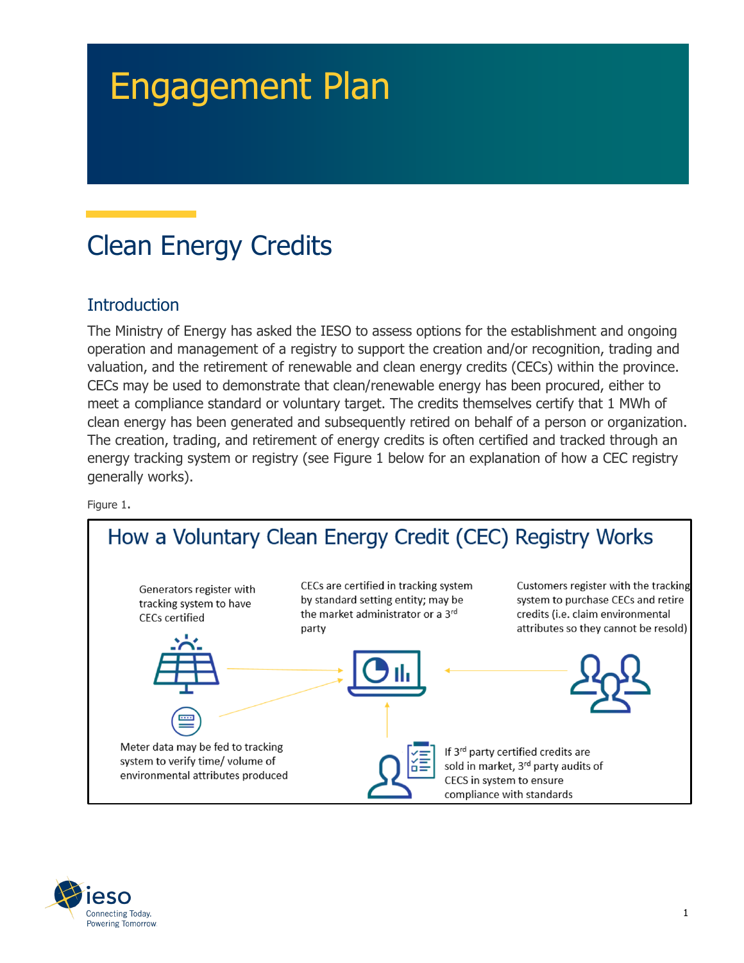# Engagement Plan

# Clean Energy Credits

## **Introduction**

The Ministry of Energy has asked the IESO to assess options for the establishment and ongoing operation and management of a registry to support the creation and/or recognition, trading and valuation, and the retirement of renewable and clean energy credits (CECs) within the province. CECs may be used to demonstrate that clean/renewable energy has been procured, either to meet a compliance standard or voluntary target. The credits themselves certify that 1 MWh of clean energy has been generated and subsequently retired on behalf of a person or organization. The creation, trading, and retirement of energy credits is often certified and tracked through an energy tracking system or registry (see Figure 1 below for an explanation of how a CEC registry generally works).

Figure 1.



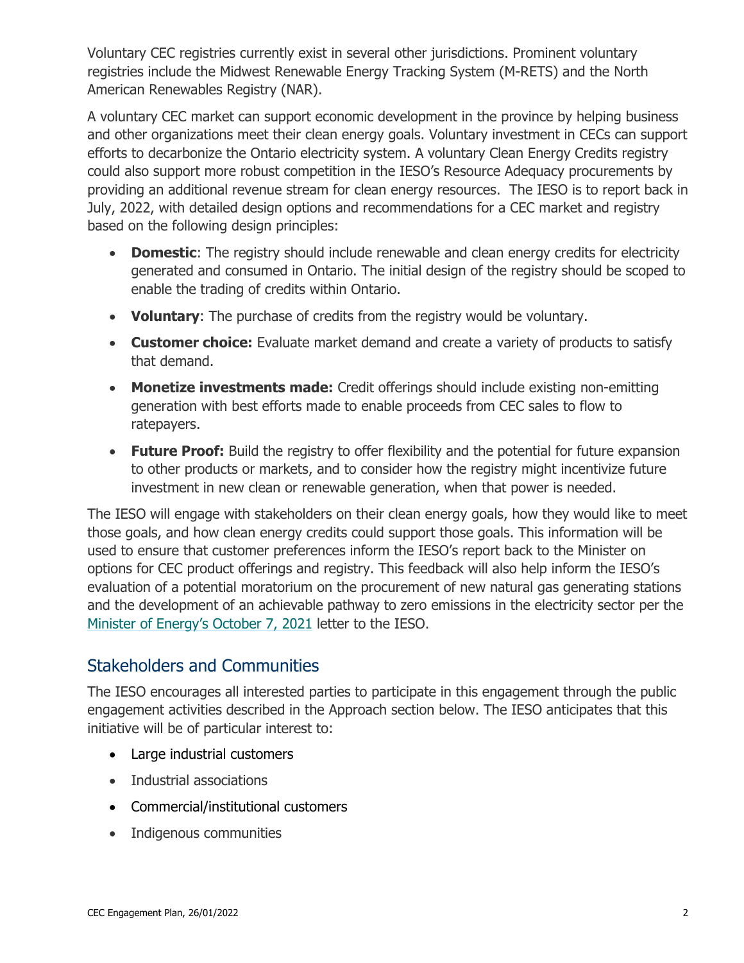Voluntary CEC registries currently exist in several other jurisdictions. Prominent voluntary registries include the Midwest Renewable Energy Tracking System (M-RETS) and the North American Renewables Registry (NAR).

A voluntary CEC market can support economic development in the province by helping business and other organizations meet their clean energy goals. Voluntary investment in CECs can support efforts to decarbonize the Ontario electricity system. A voluntary Clean Energy Credits registry could also support more robust competition in the IESO's Resource Adequacy procurements by providing an additional revenue stream for clean energy resources. The IESO is to report back in July, 2022, with detailed design options and recommendations for a CEC market and registry based on the following design principles:

- **Domestic**: The registry should include renewable and clean energy credits for electricity generated and consumed in Ontario. The initial design of the registry should be scoped to enable the trading of credits within Ontario.
- **Voluntary**: The purchase of credits from the registry would be voluntary.
- **Customer choice:** Evaluate market demand and create a variety of products to satisfy that demand.
- **Monetize investments made:** Credit offerings should include existing non-emitting generation with best efforts made to enable proceeds from CEC sales to flow to ratepayers.
- **Future Proof:** Build the registry to offer flexibility and the potential for future expansion to other products or markets, and to consider how the registry might incentivize future investment in new clean or renewable generation, when that power is needed.

The IESO will engage with stakeholders on their clean energy goals, how they would like to meet those goals, and how clean energy credits could support those goals. This information will be used to ensure that customer preferences inform the IESO's report back to the Minister on options for CEC product offerings and registry. This feedback will also help inform the IESO's evaluation of a potential moratorium on the procurement of new natural gas generating stations and the development of an achievable pathway to zero emissions in the electricity sector per the [Minister of Energy's October 7, 2021](https://www.ieso.ca/en/Corporate-IESO/Ministerial-Directives) letter to the IESO.

#### Stakeholders and Communities

The IESO encourages all interested parties to participate in this engagement through the public engagement activities described in the Approach section below. The IESO anticipates that this initiative will be of particular interest to:

- Large industrial customers
- Industrial associations
- Commercial/institutional customers
- Indigenous communities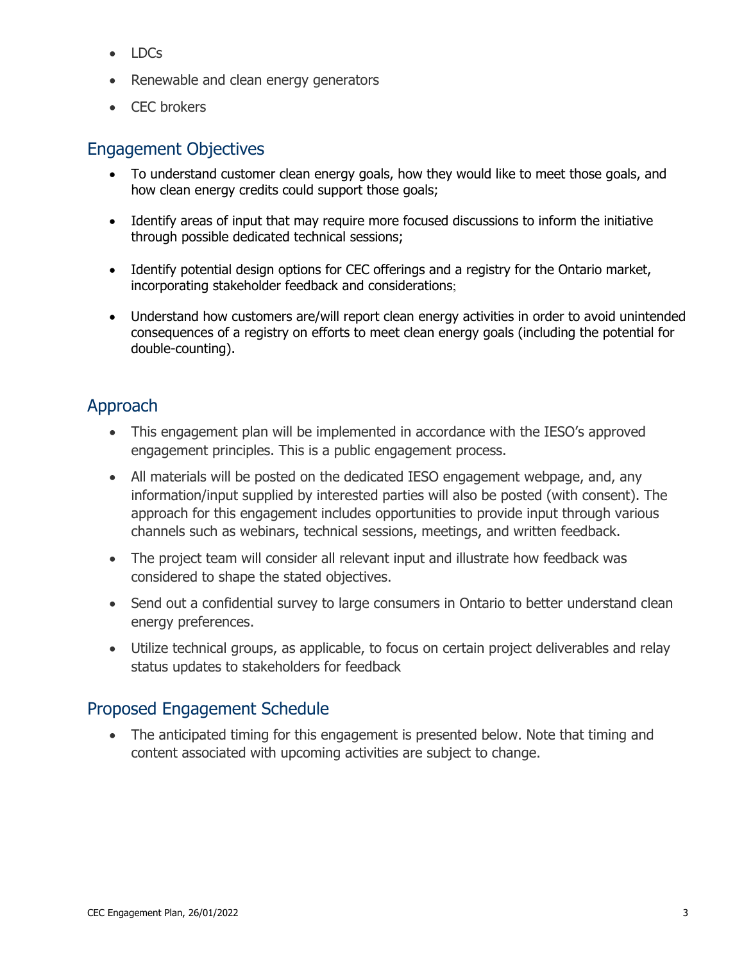- LDCs
- Renewable and clean energy generators
- CEC brokers

#### Engagement Objectives

- To understand customer clean energy goals, how they would like to meet those goals, and how clean energy credits could support those goals;
- Identify areas of input that may require more focused discussions to inform the initiative through possible dedicated technical sessions;
- Identify potential design options for CEC offerings and a registry for the Ontario market, incorporating stakeholder feedback and considerations;
- Understand how customers are/will report clean energy activities in order to avoid unintended consequences of a registry on efforts to meet clean energy goals (including the potential for double-counting).

## Approach

- This engagement plan will be implemented in accordance with the IESO's approved engagement principles. This is a public engagement process.
- All materials will be posted on the dedicated IESO engagement webpage, and, any information/input supplied by interested parties will also be posted (with consent). The approach for this engagement includes opportunities to provide input through various channels such as webinars, technical sessions, meetings, and written feedback.
- The project team will consider all relevant input and illustrate how feedback was considered to shape the stated objectives.
- Send out a confidential survey to large consumers in Ontario to better understand clean energy preferences.
- Utilize technical groups, as applicable, to focus on certain project deliverables and relay status updates to stakeholders for feedback

#### Proposed Engagement Schedule

• The anticipated timing for this engagement is presented below. Note that timing and content associated with upcoming activities are subject to change.